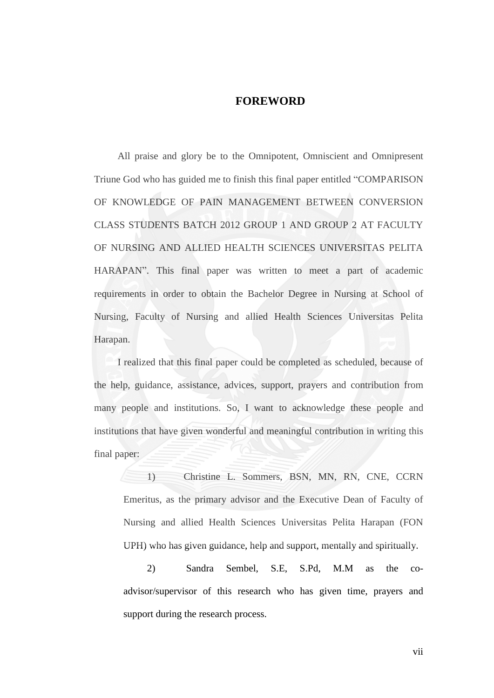#### **FOREWORD**

All praise and glory be to the Omnipotent, Omniscient and Omnipresent Triune God who has guided me to finish this final paper entitled "COMPARISON OF KNOWLEDGE OF PAIN MANAGEMENT BETWEEN CONVERSION CLASS STUDENTS BATCH 2012 GROUP 1 AND GROUP 2 AT FACULTY OF NURSING AND ALLIED HEALTH SCIENCES UNIVERSITAS PELITA HARAPAN". This final paper was written to meet a part of academic requirements in order to obtain the Bachelor Degree in Nursing at School of Nursing, Faculty of Nursing and allied Health Sciences Universitas Pelita Harapan.

I realized that this final paper could be completed as scheduled, because of the help, guidance, assistance, advices, support, prayers and contribution from many people and institutions. So, I want to acknowledge these people and institutions that have given wonderful and meaningful contribution in writing this final paper:

1) Christine L. Sommers, BSN, MN, RN, CNE, CCRN Emeritus, as the primary advisor and the Executive Dean of Faculty of Nursing and allied Health Sciences Universitas Pelita Harapan (FON UPH) who has given guidance, help and support, mentally and spiritually.

2) Sandra Sembel, S.E, S.Pd, M.M as the coadvisor/supervisor of this research who has given time, prayers and support during the research process.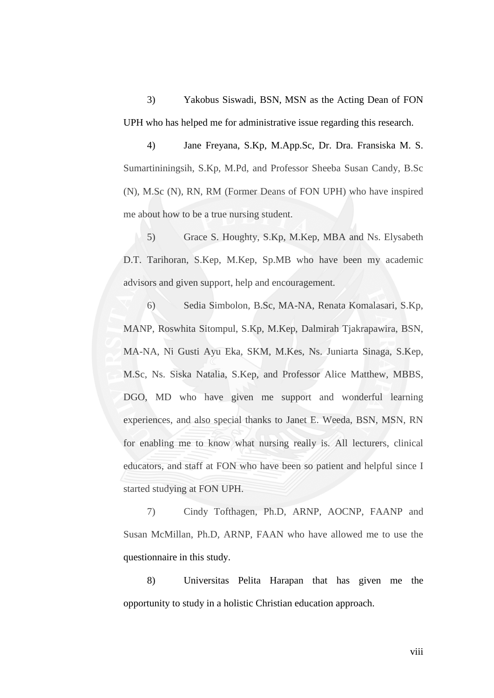3) Yakobus Siswadi, BSN, MSN as the Acting Dean of FON UPH who has helped me for administrative issue regarding this research.

4) Jane Freyana, S.Kp, M.App.Sc, Dr. Dra. Fransiska M. S. Sumartininingsih, S.Kp, M.Pd, and Professor Sheeba Susan Candy, B.Sc (N), M.Sc (N), RN, RM (Former Deans of FON UPH) who have inspired me about how to be a true nursing student.

5) Grace S. Houghty, S.Kp, M.Kep, MBA and Ns. Elysabeth D.T. Tarihoran, S.Kep, M.Kep, Sp.MB who have been my academic advisors and given support, help and encouragement.

6) Sedia Simbolon, B.Sc, MA-NA, Renata Komalasari, S.Kp, MANP, Roswhita Sitompul, S.Kp, M.Kep, Dalmirah Tjakrapawira, BSN, MA-NA, Ni Gusti Ayu Eka, SKM, M.Kes, Ns. Juniarta Sinaga, S.Kep, M.Sc, Ns. Siska Natalia, S.Kep, and Professor Alice Matthew, MBBS, DGO, MD who have given me support and wonderful learning experiences, and also special thanks to Janet E. Weeda, BSN, MSN, RN for enabling me to know what nursing really is. All lecturers, clinical educators, and staff at FON who have been so patient and helpful since I started studying at FON UPH.

7) Cindy Tofthagen, Ph.D, ARNP, AOCNP, FAANP and Susan McMillan, Ph.D, ARNP, FAAN who have allowed me to use the questionnaire in this study.

8) Universitas Pelita Harapan that has given me the opportunity to study in a holistic Christian education approach.

viii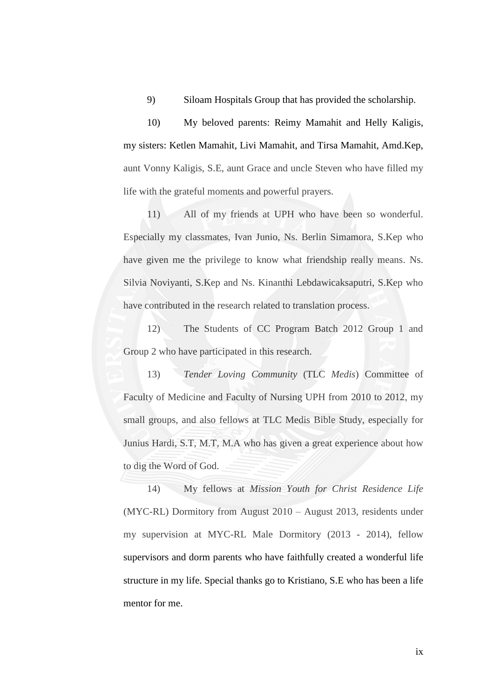9) Siloam Hospitals Group that has provided the scholarship.

10) My beloved parents: Reimy Mamahit and Helly Kaligis, my sisters: Ketlen Mamahit, Livi Mamahit, and Tirsa Mamahit, Amd.Kep, aunt Vonny Kaligis, S.E, aunt Grace and uncle Steven who have filled my life with the grateful moments and powerful prayers.

11) All of my friends at UPH who have been so wonderful. Especially my classmates, Ivan Junio, Ns. Berlin Simamora, S.Kep who have given me the privilege to know what friendship really means. Ns. Silvia Noviyanti, S.Kep and Ns. Kinanthi Lebdawicaksaputri, S.Kep who have contributed in the research related to translation process.

12) The Students of CC Program Batch 2012 Group 1 and Group 2 who have participated in this research.

13) *Tender Loving Community* (TLC *Medis*) Committee of Faculty of Medicine and Faculty of Nursing UPH from 2010 to 2012, my small groups, and also fellows at TLC Medis Bible Study, especially for Junius Hardi, S.T, M.T, M.A who has given a great experience about how to dig the Word of God.

14) My fellows at *Mission Youth for Christ Residence Life*  (MYC-RL) Dormitory from August 2010 – August 2013, residents under my supervision at MYC-RL Male Dormitory (2013 - 2014), fellow supervisors and dorm parents who have faithfully created a wonderful life structure in my life. Special thanks go to Kristiano, S.E who has been a life mentor for me.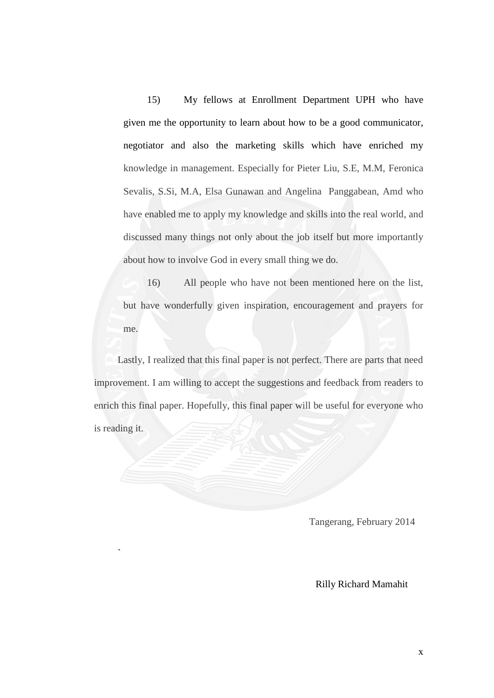15) My fellows at Enrollment Department UPH who have given me the opportunity to learn about how to be a good communicator, negotiator and also the marketing skills which have enriched my knowledge in management. Especially for Pieter Liu, S.E, M.M, Feronica Sevalis, S.Si, M.A, Elsa Gunawan and Angelina Panggabean, Amd who have enabled me to apply my knowledge and skills into the real world, and discussed many things not only about the job itself but more importantly about how to involve God in every small thing we do.

16) All people who have not been mentioned here on the list, but have wonderfully given inspiration, encouragement and prayers for me.

Lastly, I realized that this final paper is not perfect. There are parts that need improvement. I am willing to accept the suggestions and feedback from readers to enrich this final paper. Hopefully, this final paper will be useful for everyone who is reading it.

`

Tangerang, February 2014

Rilly Richard Mamahit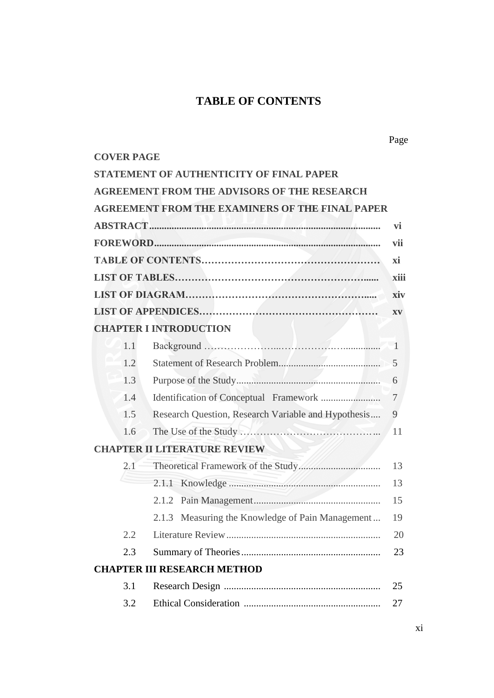#### **TABLE OF CONTENTS**

| <b>COVER PAGE</b> |                                                        |                |
|-------------------|--------------------------------------------------------|----------------|
|                   | STATEMENT OF AUTHENTICITY OF FINAL PAPER               |                |
|                   | <b>AGREEMENT FROM THE ADVISORS OF THE RESEARCH</b>     |                |
|                   | <b>AGREEMENT FROM THE EXAMINERS OF THE FINAL PAPER</b> |                |
|                   |                                                        | vi             |
|                   |                                                        | vii            |
|                   |                                                        | xi             |
|                   |                                                        | xiii           |
|                   |                                                        | xiv            |
|                   |                                                        | XV             |
|                   | <b>CHAPTER I INTRODUCTION</b>                          |                |
| 1.1               |                                                        |                |
| 1.2               |                                                        |                |
| 1.3               |                                                        | 6              |
| 1.4               |                                                        | $\overline{7}$ |
| 1.5               | Research Question, Research Variable and Hypothesis    | 9              |
| 1.6               | The Use of the Study                                   | 11             |
|                   | <b>CHAPTER II LITERATURE REVIEW</b>                    |                |
| 2.1               |                                                        | 13             |
|                   |                                                        | 13             |
|                   |                                                        | 15             |
|                   | 2.1.3 Measuring the Knowledge of Pain Management       | 19             |
| 2.2               |                                                        | 20             |
| 2.3               |                                                        | 23             |
|                   | <b>CHAPTER III RESEARCH METHOD</b>                     |                |
| 3.1               |                                                        | 25             |
| 3.2               |                                                        | 27             |

Page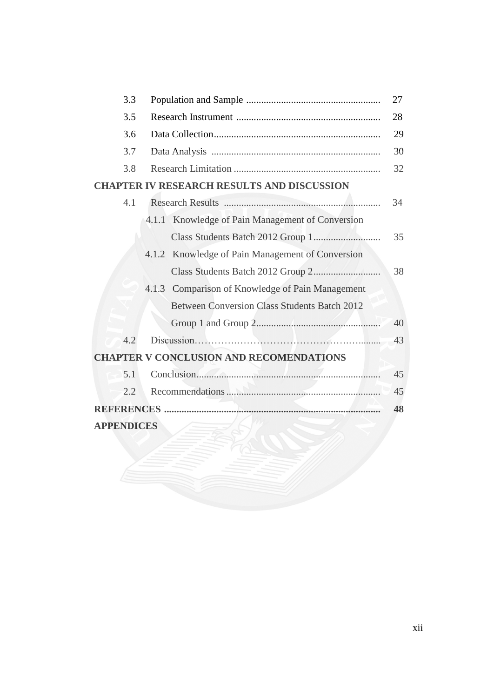| 3.3               |                                                     | 27 |
|-------------------|-----------------------------------------------------|----|
| 3.5               |                                                     | 28 |
| 3.6               |                                                     | 29 |
| 3.7               |                                                     | 30 |
| 3.8               |                                                     | 32 |
|                   | <b>CHAPTER IV RESEARCH RESULTS AND DISCUSSION</b>   |    |
| 4.1               |                                                     | 34 |
|                   | 4.1.1 Knowledge of Pain Management of Conversion    |    |
|                   |                                                     | 35 |
|                   | 4.1.2 Knowledge of Pain Management of Conversion    |    |
|                   |                                                     | 38 |
|                   | 4.1.3 Comparison of Knowledge of Pain Management    |    |
|                   | <b>Between Conversion Class Students Batch 2012</b> |    |
|                   |                                                     | 40 |
| 4.2               |                                                     | 43 |
|                   | <b>CHAPTER V CONCLUSION AND RECOMENDATIONS</b>      |    |
| 5.1               | Conclusion                                          | 45 |
| 2.2               |                                                     | 45 |
|                   |                                                     | 48 |
| <b>APPENDICES</b> |                                                     |    |
|                   |                                                     |    |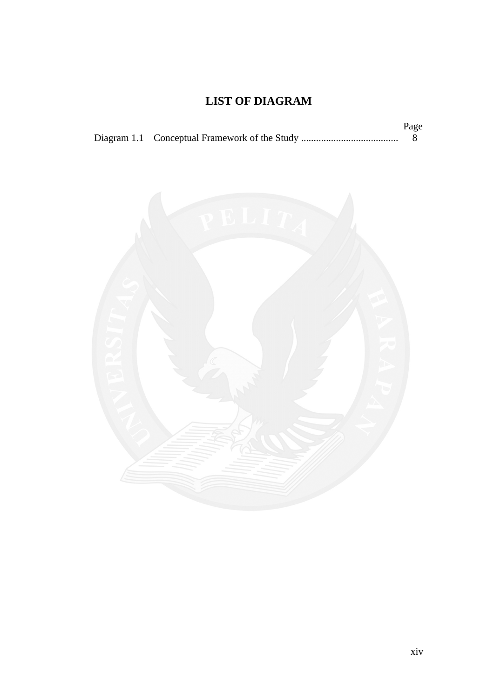## **LIST OF DIAGRAM**

|  | Page |
|--|------|
|  |      |

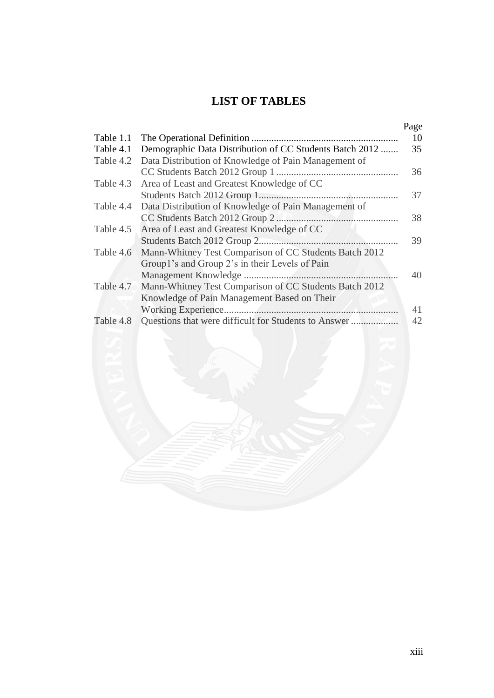## **LIST OF TABLES**

|           |                                                         | Page |
|-----------|---------------------------------------------------------|------|
| Table 1.1 |                                                         | 10   |
| Table 4.1 | Demographic Data Distribution of CC Students Batch 2012 | 35   |
| Table 4.2 | Data Distribution of Knowledge of Pain Management of    |      |
|           |                                                         | 36   |
| Table 4.3 | Area of Least and Greatest Knowledge of CC              |      |
|           |                                                         | 37   |
| Table 4.4 | Data Distribution of Knowledge of Pain Management of    |      |
|           |                                                         | 38   |
| Table 4.5 | Area of Least and Greatest Knowledge of CC              |      |
|           |                                                         | 39   |
| Table 4.6 | Mann-Whitney Test Comparison of CC Students Batch 2012  |      |
|           | Group1's and Group 2's in their Levels of Pain          |      |
|           |                                                         | 40   |
| Table 4.7 | Mann-Whitney Test Comparison of CC Students Batch 2012  |      |
|           | Knowledge of Pain Management Based on Their             |      |
|           |                                                         | 41   |
| Table 4.8 | Questions that were difficult for Students to Answer    | 42   |
|           |                                                         |      |